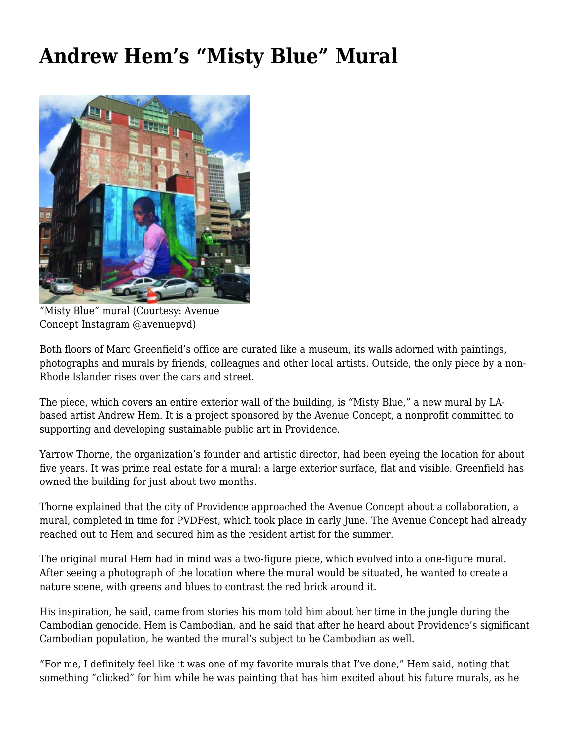## **[Andrew Hem's "Misty Blue" Mural](https://motifri.com/misty-blue/)**



"Misty Blue" mural (Courtesy: Avenue Concept Instagram @avenuepvd)

Both floors of Marc Greenfield's office are curated like a museum, its walls adorned with paintings, photographs and murals by friends, colleagues and other local artists. Outside, the only piece by a non-Rhode Islander rises over the cars and street.

The piece, which covers an entire exterior wall of the building, is "Misty Blue," a new mural by LAbased artist Andrew Hem. It is a project sponsored by the Avenue Concept, a nonprofit committed to supporting and developing sustainable public art in Providence.

Yarrow Thorne, the organization's founder and artistic director, had been eyeing the location for about five years. It was prime real estate for a mural: a large exterior surface, flat and visible. Greenfield has owned the building for just about two months.

Thorne explained that the city of Providence approached the Avenue Concept about a collaboration, a mural, completed in time for PVDFest, which took place in early June. The Avenue Concept had already reached out to Hem and secured him as the resident artist for the summer.

The original mural Hem had in mind was a two-figure piece, which evolved into a one-figure mural. After seeing a photograph of the location where the mural would be situated, he wanted to create a nature scene, with greens and blues to contrast the red brick around it.

His inspiration, he said, came from stories his mom told him about her time in the jungle during the Cambodian genocide. Hem is Cambodian, and he said that after he heard about Providence's significant Cambodian population, he wanted the mural's subject to be Cambodian as well.

"For me, I definitely feel like it was one of my favorite murals that I've done," Hem said, noting that something "clicked" for him while he was painting that has him excited about his future murals, as he